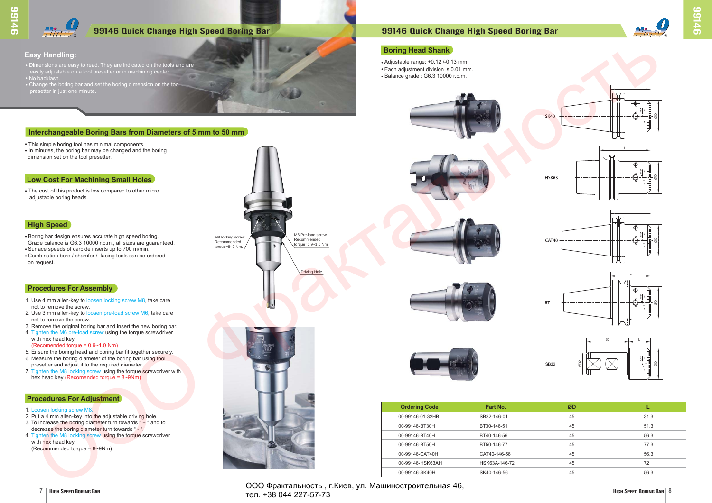### **Procedures For Assembly**

### **Procedures For Adjustment**

# **Interchangeable Boring Bars from Diameters of 5 mm to 50 mm**

# **Easy Handling:**

- Dimensions are easy to read. They are indicated on the tools and are easily adjustable on a tool presetter or in machining center. • No backlash.
- Change the boring bar and set the boring dimension on the tool presetter in just one minute.

- This simple boring tool has minimal components.
- In minutes, the boring bar may be changed and the boring dimension set on the tool presetter.

# **Low Cost For Machining Small Holes**

• The cost of this product is low compared to other micro adjustable boring heads.

# **High Speed**

- Boring bar design ensures accurate high speed boring. Grade balance is G6.3 10000 r.p.m., all sizes are guaranteed.
- Surface speeds of carbide inserts up to 700 m/min. • Combination bore / chamfer / facing tools can be ordered
- on request.

- 1. Use 4 mm allen-key to loosen locking screw M8, take care not to remove the screw.
- 2. Use 3 mm allen-key to loosen pre-load screw M6, take care not to remove the screw.
- 3. Remove the original boring bar and insert the new boring bar.
- 4. Tighten the M6 pre-load screw using the torque screwdriver with hex head key.
- (Recomended torque = 0.9~1.0 Nm)
- 5. Ensure the boring head and boring bar fit together securely.
- 6. Measure the boring diameter of the boring bar using tool presetter and adjust it to the required diameter.
- 7. Tighten the M8 locking screw using the torque screwdriver with hex head key (Recomended torque = 8~9Nm)

**7** | Ниен Speed Boring Bar **Boring Bar 1996 COO Фрактальность**, г. Киев, ул. Машиностроительная 46, тел. +38 044 227-57-73



#### 1. Loosen locking screw M8.

- 2. Put a 4 mm allen-key into the adjustable driving hole.
- 3. To increase the boring diameter turn towards " + " and to decrease the boring diameter turn towards " - ".
- 4. Tighten the M8 locking screw using the torque screwdriver with hex head key.
- $(Recommented torque = 8~9Nm)$



# 99146 Quick Change High Speed Boring Bar 99146 Quick Change High Speed Boring Bar

| <b>Ordering Code</b> | Part No.      | ØD |      |
|----------------------|---------------|----|------|
| 00-99146-01-32HB     | SB32-146-01   | 45 | 31.3 |
| 00-99146-BT30H       | BT30-146-51   | 45 | 51.3 |
| 00-99146-BT40H       | BT40-146-56   | 45 | 56.3 |
| 00-99146-BT50H       | BT50-146-77   | 45 | 77.3 |
| 00-99146-CAT40H      | CAT40-146-56  | 45 | 56.3 |
| 00-99146-HSK63AH     | HSK63A-146-72 | 45 | 72   |
| 00-99146-SK40H       | SK40-146-56   | 45 | 56.3 |

# **Boring Head Shank**

- $\bullet$  Adjustable range: +0.12 /-0.13 mm.
- Each adjustment division is 0.01 mm.
- $\cdot$  Balance grade : G6.3 10000 r.p.m.











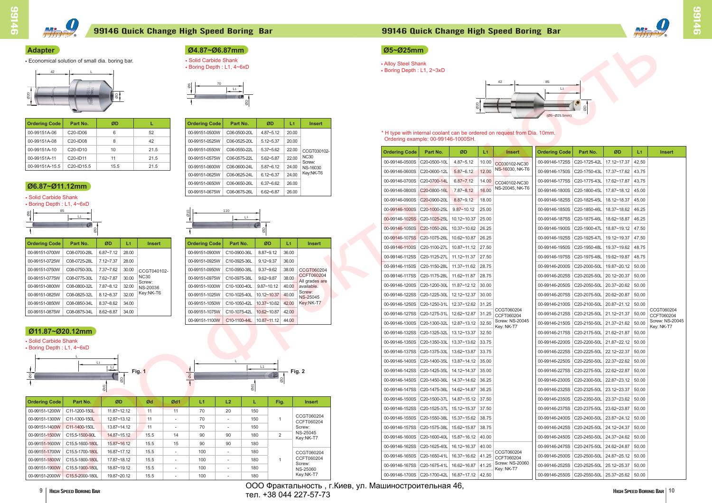| <b>Ordering Code</b> | Part No.                            | ØD   |      |
|----------------------|-------------------------------------|------|------|
| 00-99151A-06         | C <sub>20</sub> -ID <sub>06</sub>   | 6    | 52   |
| 00-99151A-08         | C <sub>20</sub> -ID <sub>08</sub>   | 8    | 42   |
| 00-99151A-10         | C <sub>20</sub> -ID <sub>10</sub>   | 10   | 21.5 |
| 00-99151A-11         | C <sub>20</sub> -ID <sub>11</sub>   | 11   | 21.5 |
| 00-99151A-15.5       | C <sub>20</sub> -ID <sub>15.5</sub> | 15.5 | 21.5 |

| <b>Ordering Code</b>             | Part No.     | ØD            | L1    | <b>Insert</b>      |
|----------------------------------|--------------|---------------|-------|--------------------|
| 00-99151-0500W                   | C06-0500-20L | $4.87 - 5.12$ | 20.00 |                    |
| 00-99151-0525W                   | C06-0525-20L | $5.12 - 5.37$ | 20.00 |                    |
| 00-99151-0550W                   | C06-0550-22L | $5.37 - 5.62$ | 22.00 | CCGT030102-        |
| 00-99151-0575W<br>00-99151-0600W | C06-0575-22L | $5.62 - 5.87$ | 22.00 | <b>NC30</b>        |
|                                  | C06-0600-24L | $5.87 - 6.12$ | 24.00 | Screw:<br>NS-16030 |
| 00-99151-0625W                   | C06-0625-24L | $612 - 637$   | 24.00 | Key:NK-T6          |
| 00-99151-0650W                   | C06-0650-26L | $637 - 662$   | 26.00 |                    |
| 00-99151-0675W                   | C06-0675-26L | 662~687       | 26.00 |                    |

| <b>Ordering Code</b> | Part No.        | ØD              | Ød   | Ød1            | L1  | L2 |     | Fig. | <b>Insert</b>            |
|----------------------|-----------------|-----------------|------|----------------|-----|----|-----|------|--------------------------|
| 00-99151-1200W       | C11-1200-150L   | $11.87 - 12.12$ | 11   | 11             | 70  | 20 | 150 |      |                          |
| 00-99151-1300W       | C11-1300-150L   | 12.87~13.12     | 11   |                | 70  |    | 150 |      | CCGT060204<br>CCFT060204 |
| 00-99151-1400W       | C11-1400-150L   | 13.87~14.12     | 11   |                | 70  | ۰  | 150 |      | Screw:                   |
| 00-99151-1500W       | C15.5-1500-90L  | 14.87~15.12     | 15.5 | 14             | 90  | 90 | 180 | 2    | NS-25045<br>Key:NK-T7    |
| 00-99151-1600W       | C15.5-1600-180L | 15.87~16.12     | 15.5 | 15             | 90  | 90 | 180 |      |                          |
| 00-99151-1700W       | C15.5-1700-180L | 16.87~17.12     | 15.5 | $\overline{a}$ | 100 |    | 180 |      | CCGT060204               |
| 00-99151-1800W       | C15.5-1800-180L | 17.87~18.12     | 15.5 |                | 100 |    | 180 |      | CCFT060204               |
| 00-99151-1900W       | C15.5-1900-180L | 18.87~19.12     | 15.5 | $\overline{a}$ | 100 |    | 180 |      | Screw:<br>NS-25060       |
| 00-99151-2000W       | C15.5-2000-180L | 19.87~20.12     | 15.5 |                | 100 |    | 180 |      | Key:NK-T7                |

# **Adapter**

**Example:** Economical solution of small dia. boring bar.

# **Ø11.87~Ø20.12mm**

• Solid Carbide Shank

• Boring Depth : L1, 4~6xD

ООО Фрактальность, г.Киев, ул. Машиностроительная 46,<br>2004.1227.57.72 тел. +38 044 227-57-73





| dering Code<br>Part No.<br>ØD<br><b>Ordering Code</b><br>Part No.<br>ØD<br>L1<br><b>Insert</b><br>$4.87 - 5.12$<br>-99151A-06<br>C20-ID06<br>52<br>00-99151-0500W<br>C06-0500-20L<br>$\mid$ 20.00<br>* H type with internal coolant can be ordered on request from Dia. 10mm.<br>6<br>Ordering example: 00-99146-1000SH.<br>C20-ID08<br>8<br>42<br>00-99151-0525W<br>C06-0525-20L<br>$5.12 - 5.37$<br>20.00<br>0-99151A-08<br>10 <sup>1</sup><br>-99151A-10<br>C20-ID10<br>21.5<br>00-99151-0550W<br>C06-0550-22L<br>$5.37 - 5.62$<br>22.00<br>CCGT030102-<br><b>Ordering Code</b><br>Part No.<br>ØD<br><b>Ordering Code</b><br>ØD<br><b>Insert</b><br>Part No.<br>L1<br><b>Insert</b><br><b>NC30</b><br>22.00<br>$5.62 - 5.87$<br>-99151A-11<br>C20-ID11<br>11<br>21.5<br>00-99151-0575W<br>C06-0575-22L<br>C20-0500-10L<br>4.87~5.12<br>00-99146-1725S C20-1725-42L 17.12~17.37 42.50<br>00-99146-0500S<br> 10.00 <br>Screw:<br>CC030102-NC30<br>-99151A-15.5<br>C20-ID15.5<br>15.5<br>21.5<br>00-99151-0600W<br>C06-0600-24L<br>$5.87 - 6.12$<br>$\mid$ 24.00<br><b>NS-16030</b><br>NS-16030, NK-T6<br>12.00<br>$5.87 - 6.12$<br>00-99146-0600S<br>C20-0600-12L<br>00-99146-1750S C20-1750-43L 17.37~17.62 43.75<br>Key:NK-T6<br>24.00<br>C06-0625-24L<br>$6.12 - 6.37$<br>00-99151-0625W<br>00-99146-0700S C20-0700-14L<br>$6.87 - 7.12$<br>00-99146-1775S C20-1775-43L 17.62~17.87 43.75<br>14.00<br>CC040102-NC30<br>6.37~6.62<br>00-99151-0650W<br>C06-0650-26L<br>26.00<br>6.87~Ø11.12mm<br>NS-20045, NK-T6<br>16.00<br>$7.87 - 8.12$<br>00-99146-1800S C20-1800-45L 17.87~18.12 45.00<br>00-99146-0800S C20-0800-16L<br>6.62~6.87<br>00-99151-0675W<br>C06-0675-26L<br>26.00<br>olid Carbide Shank<br>8.87~9.12 18.00<br>00-99146-1825S C20-1825-45L 18.12~18.37 45.00<br>00-99146-0900S C20-0900-20L<br>oring Depth: L1, 4~6xD<br>00-99146-1850S C20-1850-46L 18.37~18.62 46.25<br>$9.87 - 10.12$ 25.00<br>00-99146-1000S   C20-1000-25L  <br>110<br>L1<br>L1<br>00-99146-1875S C20-1875-46L 18.62~18.87 46.25<br>00-99146-1025S C20-1025-25L 10.12~10.37 25.00<br>00-99146-1050S C20-1050-26L 10.37~10.62 26.25<br>00-99146-1900S C20-1900-47L 18.87~19.12 47.50<br>00-99146-1075S C20-1075-26L 10.62~10.87 26.25<br>00-99146-1925S C20-1925-47L 19.12~19.37 47.50<br>dering Code<br>Part No.<br>ØD<br>Part No.<br>ØD<br>L1<br>L1.<br><b>Ordering Code</b><br><b>Insert</b><br><b>Insert</b><br>00-99146-1100S C20-1100-27L 10.87~11.12 27.50<br>$19.37~19.62$ 48.75<br>00-99146-1950S C20-1950-48L<br>$6.87 - 7.12$ 28.00<br>8.87~9.12<br>C08-0700-28L<br>C10-0900-36L<br>36.00<br>-99151-0700W<br>00-99151-0900W<br>00-99146-1125S C20-1125-27L 11.12~11.37 27.50<br>00-99146-1975S C20-1975-48L 19.62~19.87 48.75<br>7.12~7.37<br>28.00<br>C10-0925-36L<br>$9.12 - 9.37$<br>-99151-0725W<br>C08-0725-28L<br>00-99151-0925W<br>36.00<br>$19.87 - 20.12$ 50.00<br>00-99146-1150S   C20-1150-28L   11.37~11.62   28.75<br>00-99146-2000S C20-2000-50L<br>-99151-0750W<br>C08-0750-30L<br>7.37~7.62 30.00<br>00-99151-0950W<br>C10-0950-38L<br>$9.37 - 9.62$<br>38.00<br>CCGT060204<br>CCGT040102-<br>CCFT060204<br>00-99146-1175S   C20-1175-28L   11.62~11.87   28.75<br>00-99146-2025S C20-2025-50L 20.12~20.37 50.00<br><b>NC30</b><br>$7.62 - 7.87$ 30.00<br>$9.62 - 9.87$<br>38.00<br>-99151-0775W<br>C08-0775-30L<br>00-99151-0975W<br>C10-0975-38L<br>All grades are<br>Screw:<br>00-99146-2050S C20-2050-50L 20.37~20.62 50.00<br>00-99146-1200S   C20-1200-30L   11.87~12.12   30.00<br>C08-0800-32L<br>7.87~8.12 32.00<br>C10-1000-40L<br>9.87~10.12 40.00 available<br>-99151-0800W<br>00-99151-1000W<br>NS-20036<br>Screw:<br>Key:NK-T6<br>00-99146-1225S C20-1225-30L 12.12~12.37 30.00<br>00-99146-2075S C20-2075-50L 20.62~20.87 50.00<br>8.12~8.37<br>32.00<br>C10-1025-40L<br>10.12~10.37 40.00<br>-99151-0825W<br>C08-0825-32L<br>00-99151-1025W<br>NS-25045<br>00-99151-1050W   C10-1050-42L   10.37~10.62   42.00   Key:NK-T7<br>C08-0850-34L<br>$8.37 - 8.62$ 34.00<br>-99151-0850W<br>00-99146-1250S C20-1250-31L 12.37~12.62 31.25<br>$\vert$ 00-99146-2100S $\vert$ C20-2100-50L $\vert$ 20.87~21.12 $\vert$ 50.00<br>CCGT060204<br>CCGT060204<br>-99151-0875W C08-0875-34L 8.62~8.87 34.00<br>00-99151-1075W   C10-1075-42L<br>$10.62~10.87$ 42.00<br>00-99146-1275S   C20-1275-31L   12.62~12.87   31.25<br>00-99146-2125S C20-2125-50L 21.12~21.37 50.00<br>CCFT060204<br>CCFT060204<br>00-99151-1100W   C10-1100-44L   10.87~11.12   44.00<br>Screw: NS-20045<br>00-99146-1300S C20-1300-32L 12.87~13.12 32.50<br>00-99146-2150S C20-2150-50L 21.37~21.62 50.00<br>Key: NK-T7<br>Key: NK-T7<br>11.87~Ø20.12mm<br>00-99146-1325S C20-1325-32L 13.12~13.37 32.50<br>00-99146-2175S C20-2175-50L 21.62~21.87 50.00<br>olid Carbide Shank<br>00-99146-1350S   C20-1350-33L   13.37~13.62   33.75<br>00-99146-2200S C20-2200-50L 21.87~22.12 50.00<br>oring Depth: L1, 4~6xD<br>00-99146-2225S C20-2225-50L 22.12~22.37 50.00<br>00-99146-1375S C20-1375-33L 13.62~13.87 33.75<br>00-99146-1400S   C20-1400-35L   13.87~14.12   35.00<br>00-99146-2250S   C20-2250-50L   22.37~22.62   50.00<br>L1<br>L1<br>$\frac{L^2}{2}$<br>00-99146-2275S C20-2275-50L 22.62~22.87 50.00<br>00-99146-1425S   C20-1425-35L   14.12~14.37   35.00<br>Fig. 2<br>Fig. 1<br><b>The Contract of the Contract</b><br>00-99146-1450S   C20-1450-36L   14.37~14.62   36.25<br>00-99146-2300S C20-2300-50L 22.87~23.12 50.00<br>00-99146-1475S   C20-1475-36L   14.62~14.87   36.25<br>00-99146-2325S   C20-2325-50L   23.12~23.37   50.00<br>00-99146-2350S C20-2350-50L 23.37~23.62 50.00<br>00-99146-1500S   C20-1500-37L   14.87~15.12   37.50<br>ØD<br>Ød1<br>L2<br>Part No.<br>Ød<br>L1.<br>Fig.<br>rdering Code<br><b>Insert</b><br>00-99146-1525S   C20-1525-37L   15.12~15.37   37.50<br>00-99146-2375S C20-2375-50L 23.62~23.87 50.00<br>11<br>20<br>0-99151-1200W<br>C11-1200-150L<br>11.87~12.12<br>11<br>70<br>150<br>CCGT060204<br>00-99146-1550S   C20-1550-38L   15.37~15.62   38.75<br>00-99146-2400S C20-2400-50L 23.87~24.12 50.00<br>0-99151-1300W<br>C11-1300-150L<br>12.87~13.12<br>11<br>70<br>150<br>$\mathbf{1}$<br>$\sim$<br>CCFT060204<br>0-99151-1400W<br>C11-1400-150L<br>13.87~14.12<br>11<br>70<br>150<br>00-99146-1575S C20-1575-38L 15.62~15.87 38.75<br>00-99146-2425S C20-2425-50L 24.12~24.37 50.00<br>Screw:<br>$\sim$<br>$\sim$<br>NS-25045<br>0-99151-1500W<br>C15.5-1500-90L<br>14.87~15.12<br>15.5<br>90<br>90<br>180<br>2<br>14<br>00-99146-1600S   C20-1600-40L   15.87~16.12   40.00<br>00-99146-2450S   C20-2450-50L   24.37~24.62   50.00<br>Key:NK-T7<br>0-99151-1600W<br>C15.5-1600-180L<br>15.87~16.12<br>15.5<br>90<br>15<br>90<br>180<br>00-99146-1625S   C20-1625-40L   16.12~16.37   40.00<br>00-99146-2475S C20-2475-50L 24.62~24.87 50.00<br>0-99151-1700W<br>C15.5-1700-180L<br>16.87~17.12<br>15.5<br>100<br>180<br>$\sim$<br>$\sim$<br>CCGT060204<br>CCGT060204<br>00-99146-1650S C20-1650-41L 16.37~16.62 41.25 CCFT060204<br>00-99146-2500S   C20-2500-50L   24.87~25.12   50.00<br>CCFT060204<br>0-99151-1800W<br>C15.5-1800-180L<br>17.87~18.12<br>15.5<br>180<br>100<br>$\sim$<br>$\sim$<br>00-99146-1675S C20-1675-41L 16.62~16.87 41.25 Screw: NS-20060<br>Screw:<br>00-99146-2525S C20-2525-50L 25.12~25.37 50.00<br>0-99151-1900W C15.5-1900-180L<br>18.87~19.12<br>15.5<br>100<br>180<br>$\sim$<br>$\sim$<br>Key: NK-T7<br>NS-25060<br>Key:NK-T7<br>00-99146-1700S C20-1700-42L 16.87~17.12 42.50<br>00-99146-2550S C20-2550-50L 25.37~25.62 50.00<br>0-99151-2000W C15.5-2000-180L<br>19.87~20.12<br>15.5<br>100<br>180<br>ООО Фрактальность, г. Киев, ул. Машиностроительная 46, | dapter<br>conomical solution of small dia. boring bar.<br>42 |  |  | Ø4.87~Ø6.87mm<br>• Solid Carbide Shank<br>• Boring Depth: L1, 4~6xD | $\rightarrow$ $\frac{L1}{2}$ |  |  | Ø5~Ø25mm<br>• Alloy Steel Shank<br>• Boring Depth: L1, 2~3xD |  | 42 | 85<br>L1<br>(Ø5~Ø25.5mm) |  |  |
|--------------------------------------------------------------------------------------------------------------------------------------------------------------------------------------------------------------------------------------------------------------------------------------------------------------------------------------------------------------------------------------------------------------------------------------------------------------------------------------------------------------------------------------------------------------------------------------------------------------------------------------------------------------------------------------------------------------------------------------------------------------------------------------------------------------------------------------------------------------------------------------------------------------------------------------------------------------------------------------------------------------------------------------------------------------------------------------------------------------------------------------------------------------------------------------------------------------------------------------------------------------------------------------------------------------------------------------------------------------------------------------------------------------------------------------------------------------------------------------------------------------------------------------------------------------------------------------------------------------------------------------------------------------------------------------------------------------------------------------------------------------------------------------------------------------------------------------------------------------------------------------------------------------------------------------------------------------------------------------------------------------------------------------------------------------------------------------------------------------------------------------------------------------------------------------------------------------------------------------------------------------------------------------------------------------------------------------------------------------------------------------------------------------------------------------------------------------------------------------------------------------------------------------------------------------------------------------------------------------------------------------------------------------------------------------------------------------------------------------------------------------------------------------------------------------------------------------------------------------------------------------------------------------------------------------------------------------------------------------------------------------------------------------------------------------------------------------------------------------------------------------------------------------------------------------------------------------------------------------------------------------------------------------------------------------------------------------------------------------------------------------------------------------------------------------------------------------------------------------------------------------------------------------------------------------------------------------------------------------------------------------------------------------------------------------------------------------------------------------------------------------------------------------------------------------------------------------------------------------------------------------------------------------------------------------------------------------------------------------------------------------------------------------------------------------------------------------------------------------------------------------------------------------------------------------------------------------------------------------------------------------------------------------------------------------------------------------------------------------------------------------------------------------------------------------------------------------------------------------------------------------------------------------------------------------------------------------------------------------------------------------------------------------------------------------------------------------------------------------------------------------------------------------------------------------------------------------------------------------------------------------------------------------------------------------------------------------------------------------------------------------------------------------------------------------------------------------------------------------------------------------------------------------------------------------------------------------------------------------------------------------------------------------------------------------------------------------------------------------------------------------------------------------------------------------------------------------------------------------------------------------------------------------------------------------------------------------------------------------------------------------------------------------------------------------------------------------------------------------------------------------------------------------------------------------------------------------------------------------------------------------------------------------------------------------------------------------------------------------------------------------------------------------------------------------------------------------------------------------------------------------------------------------------------------------------------------------------------------------------------------------------------------------------------------------------------------------------------------------------------------------------------------------------------------------------------------------------------------------------------------------------------------------------------------------------------------------------------------------------------------------------------------------------------------------------------------------------------------------------------------------------------------------------------------------------------------------------------------------------------------------------------------------------------------------------------------------------------------------------------------------------------------------------------------------------------------------------------------------------------------------------------------------------------------------------------------------------------------------------------------------------------------------------------------------------------------------------------------------------------------------------------------------------------------------------------------------------------------------------------------------------------------------------------------------------------------------------------------------------------------------------------------------------|--------------------------------------------------------------|--|--|---------------------------------------------------------------------|------------------------------|--|--|--------------------------------------------------------------|--|----|--------------------------|--|--|
| Screw: NS-20045                                                                                                                                                                                                                                                                                                                                                                                                                                                                                                                                                                                                                                                                                                                                                                                                                                                                                                                                                                                                                                                                                                                                                                                                                                                                                                                                                                                                                                                                                                                                                                                                                                                                                                                                                                                                                                                                                                                                                                                                                                                                                                                                                                                                                                                                                                                                                                                                                                                                                                                                                                                                                                                                                                                                                                                                                                                                                                                                                                                                                                                                                                                                                                                                                                                                                                                                                                                                                                                                                                                                                                                                                                                                                                                                                                                                                                                                                                                                                                                                                                                                                                                                                                                                                                                                                                                                                                                                                                                                                                                                                                                                                                                                                                                                                                                                                                                                                                                                                                                                                                                                                                                                                                                                                                                                                                                                                                                                                                                                                                                                                                                                                                                                                                                                                                                                                                                                                                                                                                                                                                                                                                                                                                                                                                                                                                                                                                                                                                                                                                                                                                                                                                                                                                                                                                                                                                                                                                                                                                                                                                                                                                                                                                                                                                                                                                                                                                                                                                                                                                                                                                                                                                                    |                                                              |  |  |                                                                     |                              |  |  |                                                              |  |    |                          |  |  |
|                                                                                                                                                                                                                                                                                                                                                                                                                                                                                                                                                                                                                                                                                                                                                                                                                                                                                                                                                                                                                                                                                                                                                                                                                                                                                                                                                                                                                                                                                                                                                                                                                                                                                                                                                                                                                                                                                                                                                                                                                                                                                                                                                                                                                                                                                                                                                                                                                                                                                                                                                                                                                                                                                                                                                                                                                                                                                                                                                                                                                                                                                                                                                                                                                                                                                                                                                                                                                                                                                                                                                                                                                                                                                                                                                                                                                                                                                                                                                                                                                                                                                                                                                                                                                                                                                                                                                                                                                                                                                                                                                                                                                                                                                                                                                                                                                                                                                                                                                                                                                                                                                                                                                                                                                                                                                                                                                                                                                                                                                                                                                                                                                                                                                                                                                                                                                                                                                                                                                                                                                                                                                                                                                                                                                                                                                                                                                                                                                                                                                                                                                                                                                                                                                                                                                                                                                                                                                                                                                                                                                                                                                                                                                                                                                                                                                                                                                                                                                                                                                                                                                                                                                                                                    |                                                              |  |  |                                                                     |                              |  |  |                                                              |  |    |                          |  |  |
|                                                                                                                                                                                                                                                                                                                                                                                                                                                                                                                                                                                                                                                                                                                                                                                                                                                                                                                                                                                                                                                                                                                                                                                                                                                                                                                                                                                                                                                                                                                                                                                                                                                                                                                                                                                                                                                                                                                                                                                                                                                                                                                                                                                                                                                                                                                                                                                                                                                                                                                                                                                                                                                                                                                                                                                                                                                                                                                                                                                                                                                                                                                                                                                                                                                                                                                                                                                                                                                                                                                                                                                                                                                                                                                                                                                                                                                                                                                                                                                                                                                                                                                                                                                                                                                                                                                                                                                                                                                                                                                                                                                                                                                                                                                                                                                                                                                                                                                                                                                                                                                                                                                                                                                                                                                                                                                                                                                                                                                                                                                                                                                                                                                                                                                                                                                                                                                                                                                                                                                                                                                                                                                                                                                                                                                                                                                                                                                                                                                                                                                                                                                                                                                                                                                                                                                                                                                                                                                                                                                                                                                                                                                                                                                                                                                                                                                                                                                                                                                                                                                                                                                                                                                                    |                                                              |  |  |                                                                     |                              |  |  |                                                              |  |    |                          |  |  |
|                                                                                                                                                                                                                                                                                                                                                                                                                                                                                                                                                                                                                                                                                                                                                                                                                                                                                                                                                                                                                                                                                                                                                                                                                                                                                                                                                                                                                                                                                                                                                                                                                                                                                                                                                                                                                                                                                                                                                                                                                                                                                                                                                                                                                                                                                                                                                                                                                                                                                                                                                                                                                                                                                                                                                                                                                                                                                                                                                                                                                                                                                                                                                                                                                                                                                                                                                                                                                                                                                                                                                                                                                                                                                                                                                                                                                                                                                                                                                                                                                                                                                                                                                                                                                                                                                                                                                                                                                                                                                                                                                                                                                                                                                                                                                                                                                                                                                                                                                                                                                                                                                                                                                                                                                                                                                                                                                                                                                                                                                                                                                                                                                                                                                                                                                                                                                                                                                                                                                                                                                                                                                                                                                                                                                                                                                                                                                                                                                                                                                                                                                                                                                                                                                                                                                                                                                                                                                                                                                                                                                                                                                                                                                                                                                                                                                                                                                                                                                                                                                                                                                                                                                                                                    |                                                              |  |  |                                                                     |                              |  |  |                                                              |  |    |                          |  |  |
|                                                                                                                                                                                                                                                                                                                                                                                                                                                                                                                                                                                                                                                                                                                                                                                                                                                                                                                                                                                                                                                                                                                                                                                                                                                                                                                                                                                                                                                                                                                                                                                                                                                                                                                                                                                                                                                                                                                                                                                                                                                                                                                                                                                                                                                                                                                                                                                                                                                                                                                                                                                                                                                                                                                                                                                                                                                                                                                                                                                                                                                                                                                                                                                                                                                                                                                                                                                                                                                                                                                                                                                                                                                                                                                                                                                                                                                                                                                                                                                                                                                                                                                                                                                                                                                                                                                                                                                                                                                                                                                                                                                                                                                                                                                                                                                                                                                                                                                                                                                                                                                                                                                                                                                                                                                                                                                                                                                                                                                                                                                                                                                                                                                                                                                                                                                                                                                                                                                                                                                                                                                                                                                                                                                                                                                                                                                                                                                                                                                                                                                                                                                                                                                                                                                                                                                                                                                                                                                                                                                                                                                                                                                                                                                                                                                                                                                                                                                                                                                                                                                                                                                                                                                                    |                                                              |  |  |                                                                     |                              |  |  |                                                              |  |    |                          |  |  |
|                                                                                                                                                                                                                                                                                                                                                                                                                                                                                                                                                                                                                                                                                                                                                                                                                                                                                                                                                                                                                                                                                                                                                                                                                                                                                                                                                                                                                                                                                                                                                                                                                                                                                                                                                                                                                                                                                                                                                                                                                                                                                                                                                                                                                                                                                                                                                                                                                                                                                                                                                                                                                                                                                                                                                                                                                                                                                                                                                                                                                                                                                                                                                                                                                                                                                                                                                                                                                                                                                                                                                                                                                                                                                                                                                                                                                                                                                                                                                                                                                                                                                                                                                                                                                                                                                                                                                                                                                                                                                                                                                                                                                                                                                                                                                                                                                                                                                                                                                                                                                                                                                                                                                                                                                                                                                                                                                                                                                                                                                                                                                                                                                                                                                                                                                                                                                                                                                                                                                                                                                                                                                                                                                                                                                                                                                                                                                                                                                                                                                                                                                                                                                                                                                                                                                                                                                                                                                                                                                                                                                                                                                                                                                                                                                                                                                                                                                                                                                                                                                                                                                                                                                                                                    |                                                              |  |  |                                                                     |                              |  |  |                                                              |  |    |                          |  |  |
|                                                                                                                                                                                                                                                                                                                                                                                                                                                                                                                                                                                                                                                                                                                                                                                                                                                                                                                                                                                                                                                                                                                                                                                                                                                                                                                                                                                                                                                                                                                                                                                                                                                                                                                                                                                                                                                                                                                                                                                                                                                                                                                                                                                                                                                                                                                                                                                                                                                                                                                                                                                                                                                                                                                                                                                                                                                                                                                                                                                                                                                                                                                                                                                                                                                                                                                                                                                                                                                                                                                                                                                                                                                                                                                                                                                                                                                                                                                                                                                                                                                                                                                                                                                                                                                                                                                                                                                                                                                                                                                                                                                                                                                                                                                                                                                                                                                                                                                                                                                                                                                                                                                                                                                                                                                                                                                                                                                                                                                                                                                                                                                                                                                                                                                                                                                                                                                                                                                                                                                                                                                                                                                                                                                                                                                                                                                                                                                                                                                                                                                                                                                                                                                                                                                                                                                                                                                                                                                                                                                                                                                                                                                                                                                                                                                                                                                                                                                                                                                                                                                                                                                                                                                                    |                                                              |  |  |                                                                     |                              |  |  |                                                              |  |    |                          |  |  |
|                                                                                                                                                                                                                                                                                                                                                                                                                                                                                                                                                                                                                                                                                                                                                                                                                                                                                                                                                                                                                                                                                                                                                                                                                                                                                                                                                                                                                                                                                                                                                                                                                                                                                                                                                                                                                                                                                                                                                                                                                                                                                                                                                                                                                                                                                                                                                                                                                                                                                                                                                                                                                                                                                                                                                                                                                                                                                                                                                                                                                                                                                                                                                                                                                                                                                                                                                                                                                                                                                                                                                                                                                                                                                                                                                                                                                                                                                                                                                                                                                                                                                                                                                                                                                                                                                                                                                                                                                                                                                                                                                                                                                                                                                                                                                                                                                                                                                                                                                                                                                                                                                                                                                                                                                                                                                                                                                                                                                                                                                                                                                                                                                                                                                                                                                                                                                                                                                                                                                                                                                                                                                                                                                                                                                                                                                                                                                                                                                                                                                                                                                                                                                                                                                                                                                                                                                                                                                                                                                                                                                                                                                                                                                                                                                                                                                                                                                                                                                                                                                                                                                                                                                                                                    |                                                              |  |  |                                                                     |                              |  |  |                                                              |  |    |                          |  |  |
|                                                                                                                                                                                                                                                                                                                                                                                                                                                                                                                                                                                                                                                                                                                                                                                                                                                                                                                                                                                                                                                                                                                                                                                                                                                                                                                                                                                                                                                                                                                                                                                                                                                                                                                                                                                                                                                                                                                                                                                                                                                                                                                                                                                                                                                                                                                                                                                                                                                                                                                                                                                                                                                                                                                                                                                                                                                                                                                                                                                                                                                                                                                                                                                                                                                                                                                                                                                                                                                                                                                                                                                                                                                                                                                                                                                                                                                                                                                                                                                                                                                                                                                                                                                                                                                                                                                                                                                                                                                                                                                                                                                                                                                                                                                                                                                                                                                                                                                                                                                                                                                                                                                                                                                                                                                                                                                                                                                                                                                                                                                                                                                                                                                                                                                                                                                                                                                                                                                                                                                                                                                                                                                                                                                                                                                                                                                                                                                                                                                                                                                                                                                                                                                                                                                                                                                                                                                                                                                                                                                                                                                                                                                                                                                                                                                                                                                                                                                                                                                                                                                                                                                                                                                                    |                                                              |  |  |                                                                     |                              |  |  |                                                              |  |    |                          |  |  |
|                                                                                                                                                                                                                                                                                                                                                                                                                                                                                                                                                                                                                                                                                                                                                                                                                                                                                                                                                                                                                                                                                                                                                                                                                                                                                                                                                                                                                                                                                                                                                                                                                                                                                                                                                                                                                                                                                                                                                                                                                                                                                                                                                                                                                                                                                                                                                                                                                                                                                                                                                                                                                                                                                                                                                                                                                                                                                                                                                                                                                                                                                                                                                                                                                                                                                                                                                                                                                                                                                                                                                                                                                                                                                                                                                                                                                                                                                                                                                                                                                                                                                                                                                                                                                                                                                                                                                                                                                                                                                                                                                                                                                                                                                                                                                                                                                                                                                                                                                                                                                                                                                                                                                                                                                                                                                                                                                                                                                                                                                                                                                                                                                                                                                                                                                                                                                                                                                                                                                                                                                                                                                                                                                                                                                                                                                                                                                                                                                                                                                                                                                                                                                                                                                                                                                                                                                                                                                                                                                                                                                                                                                                                                                                                                                                                                                                                                                                                                                                                                                                                                                                                                                                                                    |                                                              |  |  |                                                                     |                              |  |  |                                                              |  |    |                          |  |  |
|                                                                                                                                                                                                                                                                                                                                                                                                                                                                                                                                                                                                                                                                                                                                                                                                                                                                                                                                                                                                                                                                                                                                                                                                                                                                                                                                                                                                                                                                                                                                                                                                                                                                                                                                                                                                                                                                                                                                                                                                                                                                                                                                                                                                                                                                                                                                                                                                                                                                                                                                                                                                                                                                                                                                                                                                                                                                                                                                                                                                                                                                                                                                                                                                                                                                                                                                                                                                                                                                                                                                                                                                                                                                                                                                                                                                                                                                                                                                                                                                                                                                                                                                                                                                                                                                                                                                                                                                                                                                                                                                                                                                                                                                                                                                                                                                                                                                                                                                                                                                                                                                                                                                                                                                                                                                                                                                                                                                                                                                                                                                                                                                                                                                                                                                                                                                                                                                                                                                                                                                                                                                                                                                                                                                                                                                                                                                                                                                                                                                                                                                                                                                                                                                                                                                                                                                                                                                                                                                                                                                                                                                                                                                                                                                                                                                                                                                                                                                                                                                                                                                                                                                                                                                    |                                                              |  |  |                                                                     |                              |  |  |                                                              |  |    |                          |  |  |
|                                                                                                                                                                                                                                                                                                                                                                                                                                                                                                                                                                                                                                                                                                                                                                                                                                                                                                                                                                                                                                                                                                                                                                                                                                                                                                                                                                                                                                                                                                                                                                                                                                                                                                                                                                                                                                                                                                                                                                                                                                                                                                                                                                                                                                                                                                                                                                                                                                                                                                                                                                                                                                                                                                                                                                                                                                                                                                                                                                                                                                                                                                                                                                                                                                                                                                                                                                                                                                                                                                                                                                                                                                                                                                                                                                                                                                                                                                                                                                                                                                                                                                                                                                                                                                                                                                                                                                                                                                                                                                                                                                                                                                                                                                                                                                                                                                                                                                                                                                                                                                                                                                                                                                                                                                                                                                                                                                                                                                                                                                                                                                                                                                                                                                                                                                                                                                                                                                                                                                                                                                                                                                                                                                                                                                                                                                                                                                                                                                                                                                                                                                                                                                                                                                                                                                                                                                                                                                                                                                                                                                                                                                                                                                                                                                                                                                                                                                                                                                                                                                                                                                                                                                                                    |                                                              |  |  |                                                                     |                              |  |  |                                                              |  |    |                          |  |  |
|                                                                                                                                                                                                                                                                                                                                                                                                                                                                                                                                                                                                                                                                                                                                                                                                                                                                                                                                                                                                                                                                                                                                                                                                                                                                                                                                                                                                                                                                                                                                                                                                                                                                                                                                                                                                                                                                                                                                                                                                                                                                                                                                                                                                                                                                                                                                                                                                                                                                                                                                                                                                                                                                                                                                                                                                                                                                                                                                                                                                                                                                                                                                                                                                                                                                                                                                                                                                                                                                                                                                                                                                                                                                                                                                                                                                                                                                                                                                                                                                                                                                                                                                                                                                                                                                                                                                                                                                                                                                                                                                                                                                                                                                                                                                                                                                                                                                                                                                                                                                                                                                                                                                                                                                                                                                                                                                                                                                                                                                                                                                                                                                                                                                                                                                                                                                                                                                                                                                                                                                                                                                                                                                                                                                                                                                                                                                                                                                                                                                                                                                                                                                                                                                                                                                                                                                                                                                                                                                                                                                                                                                                                                                                                                                                                                                                                                                                                                                                                                                                                                                                                                                                                                                    |                                                              |  |  |                                                                     |                              |  |  |                                                              |  |    |                          |  |  |
|                                                                                                                                                                                                                                                                                                                                                                                                                                                                                                                                                                                                                                                                                                                                                                                                                                                                                                                                                                                                                                                                                                                                                                                                                                                                                                                                                                                                                                                                                                                                                                                                                                                                                                                                                                                                                                                                                                                                                                                                                                                                                                                                                                                                                                                                                                                                                                                                                                                                                                                                                                                                                                                                                                                                                                                                                                                                                                                                                                                                                                                                                                                                                                                                                                                                                                                                                                                                                                                                                                                                                                                                                                                                                                                                                                                                                                                                                                                                                                                                                                                                                                                                                                                                                                                                                                                                                                                                                                                                                                                                                                                                                                                                                                                                                                                                                                                                                                                                                                                                                                                                                                                                                                                                                                                                                                                                                                                                                                                                                                                                                                                                                                                                                                                                                                                                                                                                                                                                                                                                                                                                                                                                                                                                                                                                                                                                                                                                                                                                                                                                                                                                                                                                                                                                                                                                                                                                                                                                                                                                                                                                                                                                                                                                                                                                                                                                                                                                                                                                                                                                                                                                                                                                    |                                                              |  |  |                                                                     |                              |  |  |                                                              |  |    |                          |  |  |
|                                                                                                                                                                                                                                                                                                                                                                                                                                                                                                                                                                                                                                                                                                                                                                                                                                                                                                                                                                                                                                                                                                                                                                                                                                                                                                                                                                                                                                                                                                                                                                                                                                                                                                                                                                                                                                                                                                                                                                                                                                                                                                                                                                                                                                                                                                                                                                                                                                                                                                                                                                                                                                                                                                                                                                                                                                                                                                                                                                                                                                                                                                                                                                                                                                                                                                                                                                                                                                                                                                                                                                                                                                                                                                                                                                                                                                                                                                                                                                                                                                                                                                                                                                                                                                                                                                                                                                                                                                                                                                                                                                                                                                                                                                                                                                                                                                                                                                                                                                                                                                                                                                                                                                                                                                                                                                                                                                                                                                                                                                                                                                                                                                                                                                                                                                                                                                                                                                                                                                                                                                                                                                                                                                                                                                                                                                                                                                                                                                                                                                                                                                                                                                                                                                                                                                                                                                                                                                                                                                                                                                                                                                                                                                                                                                                                                                                                                                                                                                                                                                                                                                                                                                                                    |                                                              |  |  |                                                                     |                              |  |  |                                                              |  |    |                          |  |  |
|                                                                                                                                                                                                                                                                                                                                                                                                                                                                                                                                                                                                                                                                                                                                                                                                                                                                                                                                                                                                                                                                                                                                                                                                                                                                                                                                                                                                                                                                                                                                                                                                                                                                                                                                                                                                                                                                                                                                                                                                                                                                                                                                                                                                                                                                                                                                                                                                                                                                                                                                                                                                                                                                                                                                                                                                                                                                                                                                                                                                                                                                                                                                                                                                                                                                                                                                                                                                                                                                                                                                                                                                                                                                                                                                                                                                                                                                                                                                                                                                                                                                                                                                                                                                                                                                                                                                                                                                                                                                                                                                                                                                                                                                                                                                                                                                                                                                                                                                                                                                                                                                                                                                                                                                                                                                                                                                                                                                                                                                                                                                                                                                                                                                                                                                                                                                                                                                                                                                                                                                                                                                                                                                                                                                                                                                                                                                                                                                                                                                                                                                                                                                                                                                                                                                                                                                                                                                                                                                                                                                                                                                                                                                                                                                                                                                                                                                                                                                                                                                                                                                                                                                                                                                    |                                                              |  |  |                                                                     |                              |  |  |                                                              |  |    |                          |  |  |
|                                                                                                                                                                                                                                                                                                                                                                                                                                                                                                                                                                                                                                                                                                                                                                                                                                                                                                                                                                                                                                                                                                                                                                                                                                                                                                                                                                                                                                                                                                                                                                                                                                                                                                                                                                                                                                                                                                                                                                                                                                                                                                                                                                                                                                                                                                                                                                                                                                                                                                                                                                                                                                                                                                                                                                                                                                                                                                                                                                                                                                                                                                                                                                                                                                                                                                                                                                                                                                                                                                                                                                                                                                                                                                                                                                                                                                                                                                                                                                                                                                                                                                                                                                                                                                                                                                                                                                                                                                                                                                                                                                                                                                                                                                                                                                                                                                                                                                                                                                                                                                                                                                                                                                                                                                                                                                                                                                                                                                                                                                                                                                                                                                                                                                                                                                                                                                                                                                                                                                                                                                                                                                                                                                                                                                                                                                                                                                                                                                                                                                                                                                                                                                                                                                                                                                                                                                                                                                                                                                                                                                                                                                                                                                                                                                                                                                                                                                                                                                                                                                                                                                                                                                                                    |                                                              |  |  |                                                                     |                              |  |  |                                                              |  |    |                          |  |  |
|                                                                                                                                                                                                                                                                                                                                                                                                                                                                                                                                                                                                                                                                                                                                                                                                                                                                                                                                                                                                                                                                                                                                                                                                                                                                                                                                                                                                                                                                                                                                                                                                                                                                                                                                                                                                                                                                                                                                                                                                                                                                                                                                                                                                                                                                                                                                                                                                                                                                                                                                                                                                                                                                                                                                                                                                                                                                                                                                                                                                                                                                                                                                                                                                                                                                                                                                                                                                                                                                                                                                                                                                                                                                                                                                                                                                                                                                                                                                                                                                                                                                                                                                                                                                                                                                                                                                                                                                                                                                                                                                                                                                                                                                                                                                                                                                                                                                                                                                                                                                                                                                                                                                                                                                                                                                                                                                                                                                                                                                                                                                                                                                                                                                                                                                                                                                                                                                                                                                                                                                                                                                                                                                                                                                                                                                                                                                                                                                                                                                                                                                                                                                                                                                                                                                                                                                                                                                                                                                                                                                                                                                                                                                                                                                                                                                                                                                                                                                                                                                                                                                                                                                                                                                    |                                                              |  |  |                                                                     |                              |  |  |                                                              |  |    |                          |  |  |
|                                                                                                                                                                                                                                                                                                                                                                                                                                                                                                                                                                                                                                                                                                                                                                                                                                                                                                                                                                                                                                                                                                                                                                                                                                                                                                                                                                                                                                                                                                                                                                                                                                                                                                                                                                                                                                                                                                                                                                                                                                                                                                                                                                                                                                                                                                                                                                                                                                                                                                                                                                                                                                                                                                                                                                                                                                                                                                                                                                                                                                                                                                                                                                                                                                                                                                                                                                                                                                                                                                                                                                                                                                                                                                                                                                                                                                                                                                                                                                                                                                                                                                                                                                                                                                                                                                                                                                                                                                                                                                                                                                                                                                                                                                                                                                                                                                                                                                                                                                                                                                                                                                                                                                                                                                                                                                                                                                                                                                                                                                                                                                                                                                                                                                                                                                                                                                                                                                                                                                                                                                                                                                                                                                                                                                                                                                                                                                                                                                                                                                                                                                                                                                                                                                                                                                                                                                                                                                                                                                                                                                                                                                                                                                                                                                                                                                                                                                                                                                                                                                                                                                                                                                                                    |                                                              |  |  |                                                                     |                              |  |  |                                                              |  |    |                          |  |  |
|                                                                                                                                                                                                                                                                                                                                                                                                                                                                                                                                                                                                                                                                                                                                                                                                                                                                                                                                                                                                                                                                                                                                                                                                                                                                                                                                                                                                                                                                                                                                                                                                                                                                                                                                                                                                                                                                                                                                                                                                                                                                                                                                                                                                                                                                                                                                                                                                                                                                                                                                                                                                                                                                                                                                                                                                                                                                                                                                                                                                                                                                                                                                                                                                                                                                                                                                                                                                                                                                                                                                                                                                                                                                                                                                                                                                                                                                                                                                                                                                                                                                                                                                                                                                                                                                                                                                                                                                                                                                                                                                                                                                                                                                                                                                                                                                                                                                                                                                                                                                                                                                                                                                                                                                                                                                                                                                                                                                                                                                                                                                                                                                                                                                                                                                                                                                                                                                                                                                                                                                                                                                                                                                                                                                                                                                                                                                                                                                                                                                                                                                                                                                                                                                                                                                                                                                                                                                                                                                                                                                                                                                                                                                                                                                                                                                                                                                                                                                                                                                                                                                                                                                                                                                    |                                                              |  |  |                                                                     |                              |  |  |                                                              |  |    |                          |  |  |
|                                                                                                                                                                                                                                                                                                                                                                                                                                                                                                                                                                                                                                                                                                                                                                                                                                                                                                                                                                                                                                                                                                                                                                                                                                                                                                                                                                                                                                                                                                                                                                                                                                                                                                                                                                                                                                                                                                                                                                                                                                                                                                                                                                                                                                                                                                                                                                                                                                                                                                                                                                                                                                                                                                                                                                                                                                                                                                                                                                                                                                                                                                                                                                                                                                                                                                                                                                                                                                                                                                                                                                                                                                                                                                                                                                                                                                                                                                                                                                                                                                                                                                                                                                                                                                                                                                                                                                                                                                                                                                                                                                                                                                                                                                                                                                                                                                                                                                                                                                                                                                                                                                                                                                                                                                                                                                                                                                                                                                                                                                                                                                                                                                                                                                                                                                                                                                                                                                                                                                                                                                                                                                                                                                                                                                                                                                                                                                                                                                                                                                                                                                                                                                                                                                                                                                                                                                                                                                                                                                                                                                                                                                                                                                                                                                                                                                                                                                                                                                                                                                                                                                                                                                                                    |                                                              |  |  |                                                                     |                              |  |  |                                                              |  |    |                          |  |  |
|                                                                                                                                                                                                                                                                                                                                                                                                                                                                                                                                                                                                                                                                                                                                                                                                                                                                                                                                                                                                                                                                                                                                                                                                                                                                                                                                                                                                                                                                                                                                                                                                                                                                                                                                                                                                                                                                                                                                                                                                                                                                                                                                                                                                                                                                                                                                                                                                                                                                                                                                                                                                                                                                                                                                                                                                                                                                                                                                                                                                                                                                                                                                                                                                                                                                                                                                                                                                                                                                                                                                                                                                                                                                                                                                                                                                                                                                                                                                                                                                                                                                                                                                                                                                                                                                                                                                                                                                                                                                                                                                                                                                                                                                                                                                                                                                                                                                                                                                                                                                                                                                                                                                                                                                                                                                                                                                                                                                                                                                                                                                                                                                                                                                                                                                                                                                                                                                                                                                                                                                                                                                                                                                                                                                                                                                                                                                                                                                                                                                                                                                                                                                                                                                                                                                                                                                                                                                                                                                                                                                                                                                                                                                                                                                                                                                                                                                                                                                                                                                                                                                                                                                                                                                    |                                                              |  |  |                                                                     |                              |  |  |                                                              |  |    |                          |  |  |
|                                                                                                                                                                                                                                                                                                                                                                                                                                                                                                                                                                                                                                                                                                                                                                                                                                                                                                                                                                                                                                                                                                                                                                                                                                                                                                                                                                                                                                                                                                                                                                                                                                                                                                                                                                                                                                                                                                                                                                                                                                                                                                                                                                                                                                                                                                                                                                                                                                                                                                                                                                                                                                                                                                                                                                                                                                                                                                                                                                                                                                                                                                                                                                                                                                                                                                                                                                                                                                                                                                                                                                                                                                                                                                                                                                                                                                                                                                                                                                                                                                                                                                                                                                                                                                                                                                                                                                                                                                                                                                                                                                                                                                                                                                                                                                                                                                                                                                                                                                                                                                                                                                                                                                                                                                                                                                                                                                                                                                                                                                                                                                                                                                                                                                                                                                                                                                                                                                                                                                                                                                                                                                                                                                                                                                                                                                                                                                                                                                                                                                                                                                                                                                                                                                                                                                                                                                                                                                                                                                                                                                                                                                                                                                                                                                                                                                                                                                                                                                                                                                                                                                                                                                                                    |                                                              |  |  |                                                                     |                              |  |  |                                                              |  |    |                          |  |  |
|                                                                                                                                                                                                                                                                                                                                                                                                                                                                                                                                                                                                                                                                                                                                                                                                                                                                                                                                                                                                                                                                                                                                                                                                                                                                                                                                                                                                                                                                                                                                                                                                                                                                                                                                                                                                                                                                                                                                                                                                                                                                                                                                                                                                                                                                                                                                                                                                                                                                                                                                                                                                                                                                                                                                                                                                                                                                                                                                                                                                                                                                                                                                                                                                                                                                                                                                                                                                                                                                                                                                                                                                                                                                                                                                                                                                                                                                                                                                                                                                                                                                                                                                                                                                                                                                                                                                                                                                                                                                                                                                                                                                                                                                                                                                                                                                                                                                                                                                                                                                                                                                                                                                                                                                                                                                                                                                                                                                                                                                                                                                                                                                                                                                                                                                                                                                                                                                                                                                                                                                                                                                                                                                                                                                                                                                                                                                                                                                                                                                                                                                                                                                                                                                                                                                                                                                                                                                                                                                                                                                                                                                                                                                                                                                                                                                                                                                                                                                                                                                                                                                                                                                                                                                    |                                                              |  |  |                                                                     |                              |  |  |                                                              |  |    |                          |  |  |
|                                                                                                                                                                                                                                                                                                                                                                                                                                                                                                                                                                                                                                                                                                                                                                                                                                                                                                                                                                                                                                                                                                                                                                                                                                                                                                                                                                                                                                                                                                                                                                                                                                                                                                                                                                                                                                                                                                                                                                                                                                                                                                                                                                                                                                                                                                                                                                                                                                                                                                                                                                                                                                                                                                                                                                                                                                                                                                                                                                                                                                                                                                                                                                                                                                                                                                                                                                                                                                                                                                                                                                                                                                                                                                                                                                                                                                                                                                                                                                                                                                                                                                                                                                                                                                                                                                                                                                                                                                                                                                                                                                                                                                                                                                                                                                                                                                                                                                                                                                                                                                                                                                                                                                                                                                                                                                                                                                                                                                                                                                                                                                                                                                                                                                                                                                                                                                                                                                                                                                                                                                                                                                                                                                                                                                                                                                                                                                                                                                                                                                                                                                                                                                                                                                                                                                                                                                                                                                                                                                                                                                                                                                                                                                                                                                                                                                                                                                                                                                                                                                                                                                                                                                                                    |                                                              |  |  |                                                                     |                              |  |  |                                                              |  |    |                          |  |  |
|                                                                                                                                                                                                                                                                                                                                                                                                                                                                                                                                                                                                                                                                                                                                                                                                                                                                                                                                                                                                                                                                                                                                                                                                                                                                                                                                                                                                                                                                                                                                                                                                                                                                                                                                                                                                                                                                                                                                                                                                                                                                                                                                                                                                                                                                                                                                                                                                                                                                                                                                                                                                                                                                                                                                                                                                                                                                                                                                                                                                                                                                                                                                                                                                                                                                                                                                                                                                                                                                                                                                                                                                                                                                                                                                                                                                                                                                                                                                                                                                                                                                                                                                                                                                                                                                                                                                                                                                                                                                                                                                                                                                                                                                                                                                                                                                                                                                                                                                                                                                                                                                                                                                                                                                                                                                                                                                                                                                                                                                                                                                                                                                                                                                                                                                                                                                                                                                                                                                                                                                                                                                                                                                                                                                                                                                                                                                                                                                                                                                                                                                                                                                                                                                                                                                                                                                                                                                                                                                                                                                                                                                                                                                                                                                                                                                                                                                                                                                                                                                                                                                                                                                                                                                    |                                                              |  |  |                                                                     |                              |  |  |                                                              |  |    |                          |  |  |
|                                                                                                                                                                                                                                                                                                                                                                                                                                                                                                                                                                                                                                                                                                                                                                                                                                                                                                                                                                                                                                                                                                                                                                                                                                                                                                                                                                                                                                                                                                                                                                                                                                                                                                                                                                                                                                                                                                                                                                                                                                                                                                                                                                                                                                                                                                                                                                                                                                                                                                                                                                                                                                                                                                                                                                                                                                                                                                                                                                                                                                                                                                                                                                                                                                                                                                                                                                                                                                                                                                                                                                                                                                                                                                                                                                                                                                                                                                                                                                                                                                                                                                                                                                                                                                                                                                                                                                                                                                                                                                                                                                                                                                                                                                                                                                                                                                                                                                                                                                                                                                                                                                                                                                                                                                                                                                                                                                                                                                                                                                                                                                                                                                                                                                                                                                                                                                                                                                                                                                                                                                                                                                                                                                                                                                                                                                                                                                                                                                                                                                                                                                                                                                                                                                                                                                                                                                                                                                                                                                                                                                                                                                                                                                                                                                                                                                                                                                                                                                                                                                                                                                                                                                                                    |                                                              |  |  |                                                                     |                              |  |  |                                                              |  |    |                          |  |  |
|                                                                                                                                                                                                                                                                                                                                                                                                                                                                                                                                                                                                                                                                                                                                                                                                                                                                                                                                                                                                                                                                                                                                                                                                                                                                                                                                                                                                                                                                                                                                                                                                                                                                                                                                                                                                                                                                                                                                                                                                                                                                                                                                                                                                                                                                                                                                                                                                                                                                                                                                                                                                                                                                                                                                                                                                                                                                                                                                                                                                                                                                                                                                                                                                                                                                                                                                                                                                                                                                                                                                                                                                                                                                                                                                                                                                                                                                                                                                                                                                                                                                                                                                                                                                                                                                                                                                                                                                                                                                                                                                                                                                                                                                                                                                                                                                                                                                                                                                                                                                                                                                                                                                                                                                                                                                                                                                                                                                                                                                                                                                                                                                                                                                                                                                                                                                                                                                                                                                                                                                                                                                                                                                                                                                                                                                                                                                                                                                                                                                                                                                                                                                                                                                                                                                                                                                                                                                                                                                                                                                                                                                                                                                                                                                                                                                                                                                                                                                                                                                                                                                                                                                                                                                    |                                                              |  |  |                                                                     |                              |  |  |                                                              |  |    |                          |  |  |
|                                                                                                                                                                                                                                                                                                                                                                                                                                                                                                                                                                                                                                                                                                                                                                                                                                                                                                                                                                                                                                                                                                                                                                                                                                                                                                                                                                                                                                                                                                                                                                                                                                                                                                                                                                                                                                                                                                                                                                                                                                                                                                                                                                                                                                                                                                                                                                                                                                                                                                                                                                                                                                                                                                                                                                                                                                                                                                                                                                                                                                                                                                                                                                                                                                                                                                                                                                                                                                                                                                                                                                                                                                                                                                                                                                                                                                                                                                                                                                                                                                                                                                                                                                                                                                                                                                                                                                                                                                                                                                                                                                                                                                                                                                                                                                                                                                                                                                                                                                                                                                                                                                                                                                                                                                                                                                                                                                                                                                                                                                                                                                                                                                                                                                                                                                                                                                                                                                                                                                                                                                                                                                                                                                                                                                                                                                                                                                                                                                                                                                                                                                                                                                                                                                                                                                                                                                                                                                                                                                                                                                                                                                                                                                                                                                                                                                                                                                                                                                                                                                                                                                                                                                                                    |                                                              |  |  |                                                                     |                              |  |  |                                                              |  |    |                          |  |  |
|                                                                                                                                                                                                                                                                                                                                                                                                                                                                                                                                                                                                                                                                                                                                                                                                                                                                                                                                                                                                                                                                                                                                                                                                                                                                                                                                                                                                                                                                                                                                                                                                                                                                                                                                                                                                                                                                                                                                                                                                                                                                                                                                                                                                                                                                                                                                                                                                                                                                                                                                                                                                                                                                                                                                                                                                                                                                                                                                                                                                                                                                                                                                                                                                                                                                                                                                                                                                                                                                                                                                                                                                                                                                                                                                                                                                                                                                                                                                                                                                                                                                                                                                                                                                                                                                                                                                                                                                                                                                                                                                                                                                                                                                                                                                                                                                                                                                                                                                                                                                                                                                                                                                                                                                                                                                                                                                                                                                                                                                                                                                                                                                                                                                                                                                                                                                                                                                                                                                                                                                                                                                                                                                                                                                                                                                                                                                                                                                                                                                                                                                                                                                                                                                                                                                                                                                                                                                                                                                                                                                                                                                                                                                                                                                                                                                                                                                                                                                                                                                                                                                                                                                                                                                    |                                                              |  |  |                                                                     |                              |  |  |                                                              |  |    |                          |  |  |
|                                                                                                                                                                                                                                                                                                                                                                                                                                                                                                                                                                                                                                                                                                                                                                                                                                                                                                                                                                                                                                                                                                                                                                                                                                                                                                                                                                                                                                                                                                                                                                                                                                                                                                                                                                                                                                                                                                                                                                                                                                                                                                                                                                                                                                                                                                                                                                                                                                                                                                                                                                                                                                                                                                                                                                                                                                                                                                                                                                                                                                                                                                                                                                                                                                                                                                                                                                                                                                                                                                                                                                                                                                                                                                                                                                                                                                                                                                                                                                                                                                                                                                                                                                                                                                                                                                                                                                                                                                                                                                                                                                                                                                                                                                                                                                                                                                                                                                                                                                                                                                                                                                                                                                                                                                                                                                                                                                                                                                                                                                                                                                                                                                                                                                                                                                                                                                                                                                                                                                                                                                                                                                                                                                                                                                                                                                                                                                                                                                                                                                                                                                                                                                                                                                                                                                                                                                                                                                                                                                                                                                                                                                                                                                                                                                                                                                                                                                                                                                                                                                                                                                                                                                                                    |                                                              |  |  |                                                                     |                              |  |  |                                                              |  |    |                          |  |  |
|                                                                                                                                                                                                                                                                                                                                                                                                                                                                                                                                                                                                                                                                                                                                                                                                                                                                                                                                                                                                                                                                                                                                                                                                                                                                                                                                                                                                                                                                                                                                                                                                                                                                                                                                                                                                                                                                                                                                                                                                                                                                                                                                                                                                                                                                                                                                                                                                                                                                                                                                                                                                                                                                                                                                                                                                                                                                                                                                                                                                                                                                                                                                                                                                                                                                                                                                                                                                                                                                                                                                                                                                                                                                                                                                                                                                                                                                                                                                                                                                                                                                                                                                                                                                                                                                                                                                                                                                                                                                                                                                                                                                                                                                                                                                                                                                                                                                                                                                                                                                                                                                                                                                                                                                                                                                                                                                                                                                                                                                                                                                                                                                                                                                                                                                                                                                                                                                                                                                                                                                                                                                                                                                                                                                                                                                                                                                                                                                                                                                                                                                                                                                                                                                                                                                                                                                                                                                                                                                                                                                                                                                                                                                                                                                                                                                                                                                                                                                                                                                                                                                                                                                                                                                    |                                                              |  |  |                                                                     |                              |  |  |                                                              |  |    |                          |  |  |
|                                                                                                                                                                                                                                                                                                                                                                                                                                                                                                                                                                                                                                                                                                                                                                                                                                                                                                                                                                                                                                                                                                                                                                                                                                                                                                                                                                                                                                                                                                                                                                                                                                                                                                                                                                                                                                                                                                                                                                                                                                                                                                                                                                                                                                                                                                                                                                                                                                                                                                                                                                                                                                                                                                                                                                                                                                                                                                                                                                                                                                                                                                                                                                                                                                                                                                                                                                                                                                                                                                                                                                                                                                                                                                                                                                                                                                                                                                                                                                                                                                                                                                                                                                                                                                                                                                                                                                                                                                                                                                                                                                                                                                                                                                                                                                                                                                                                                                                                                                                                                                                                                                                                                                                                                                                                                                                                                                                                                                                                                                                                                                                                                                                                                                                                                                                                                                                                                                                                                                                                                                                                                                                                                                                                                                                                                                                                                                                                                                                                                                                                                                                                                                                                                                                                                                                                                                                                                                                                                                                                                                                                                                                                                                                                                                                                                                                                                                                                                                                                                                                                                                                                                                                                    |                                                              |  |  |                                                                     |                              |  |  |                                                              |  |    |                          |  |  |
|                                                                                                                                                                                                                                                                                                                                                                                                                                                                                                                                                                                                                                                                                                                                                                                                                                                                                                                                                                                                                                                                                                                                                                                                                                                                                                                                                                                                                                                                                                                                                                                                                                                                                                                                                                                                                                                                                                                                                                                                                                                                                                                                                                                                                                                                                                                                                                                                                                                                                                                                                                                                                                                                                                                                                                                                                                                                                                                                                                                                                                                                                                                                                                                                                                                                                                                                                                                                                                                                                                                                                                                                                                                                                                                                                                                                                                                                                                                                                                                                                                                                                                                                                                                                                                                                                                                                                                                                                                                                                                                                                                                                                                                                                                                                                                                                                                                                                                                                                                                                                                                                                                                                                                                                                                                                                                                                                                                                                                                                                                                                                                                                                                                                                                                                                                                                                                                                                                                                                                                                                                                                                                                                                                                                                                                                                                                                                                                                                                                                                                                                                                                                                                                                                                                                                                                                                                                                                                                                                                                                                                                                                                                                                                                                                                                                                                                                                                                                                                                                                                                                                                                                                                                                    |                                                              |  |  |                                                                     |                              |  |  |                                                              |  |    |                          |  |  |
|                                                                                                                                                                                                                                                                                                                                                                                                                                                                                                                                                                                                                                                                                                                                                                                                                                                                                                                                                                                                                                                                                                                                                                                                                                                                                                                                                                                                                                                                                                                                                                                                                                                                                                                                                                                                                                                                                                                                                                                                                                                                                                                                                                                                                                                                                                                                                                                                                                                                                                                                                                                                                                                                                                                                                                                                                                                                                                                                                                                                                                                                                                                                                                                                                                                                                                                                                                                                                                                                                                                                                                                                                                                                                                                                                                                                                                                                                                                                                                                                                                                                                                                                                                                                                                                                                                                                                                                                                                                                                                                                                                                                                                                                                                                                                                                                                                                                                                                                                                                                                                                                                                                                                                                                                                                                                                                                                                                                                                                                                                                                                                                                                                                                                                                                                                                                                                                                                                                                                                                                                                                                                                                                                                                                                                                                                                                                                                                                                                                                                                                                                                                                                                                                                                                                                                                                                                                                                                                                                                                                                                                                                                                                                                                                                                                                                                                                                                                                                                                                                                                                                                                                                                                                    |                                                              |  |  |                                                                     |                              |  |  |                                                              |  |    |                          |  |  |
|                                                                                                                                                                                                                                                                                                                                                                                                                                                                                                                                                                                                                                                                                                                                                                                                                                                                                                                                                                                                                                                                                                                                                                                                                                                                                                                                                                                                                                                                                                                                                                                                                                                                                                                                                                                                                                                                                                                                                                                                                                                                                                                                                                                                                                                                                                                                                                                                                                                                                                                                                                                                                                                                                                                                                                                                                                                                                                                                                                                                                                                                                                                                                                                                                                                                                                                                                                                                                                                                                                                                                                                                                                                                                                                                                                                                                                                                                                                                                                                                                                                                                                                                                                                                                                                                                                                                                                                                                                                                                                                                                                                                                                                                                                                                                                                                                                                                                                                                                                                                                                                                                                                                                                                                                                                                                                                                                                                                                                                                                                                                                                                                                                                                                                                                                                                                                                                                                                                                                                                                                                                                                                                                                                                                                                                                                                                                                                                                                                                                                                                                                                                                                                                                                                                                                                                                                                                                                                                                                                                                                                                                                                                                                                                                                                                                                                                                                                                                                                                                                                                                                                                                                                                                    |                                                              |  |  |                                                                     |                              |  |  |                                                              |  |    |                          |  |  |
|                                                                                                                                                                                                                                                                                                                                                                                                                                                                                                                                                                                                                                                                                                                                                                                                                                                                                                                                                                                                                                                                                                                                                                                                                                                                                                                                                                                                                                                                                                                                                                                                                                                                                                                                                                                                                                                                                                                                                                                                                                                                                                                                                                                                                                                                                                                                                                                                                                                                                                                                                                                                                                                                                                                                                                                                                                                                                                                                                                                                                                                                                                                                                                                                                                                                                                                                                                                                                                                                                                                                                                                                                                                                                                                                                                                                                                                                                                                                                                                                                                                                                                                                                                                                                                                                                                                                                                                                                                                                                                                                                                                                                                                                                                                                                                                                                                                                                                                                                                                                                                                                                                                                                                                                                                                                                                                                                                                                                                                                                                                                                                                                                                                                                                                                                                                                                                                                                                                                                                                                                                                                                                                                                                                                                                                                                                                                                                                                                                                                                                                                                                                                                                                                                                                                                                                                                                                                                                                                                                                                                                                                                                                                                                                                                                                                                                                                                                                                                                                                                                                                                                                                                                                                    |                                                              |  |  |                                                                     |                              |  |  |                                                              |  |    |                          |  |  |
|                                                                                                                                                                                                                                                                                                                                                                                                                                                                                                                                                                                                                                                                                                                                                                                                                                                                                                                                                                                                                                                                                                                                                                                                                                                                                                                                                                                                                                                                                                                                                                                                                                                                                                                                                                                                                                                                                                                                                                                                                                                                                                                                                                                                                                                                                                                                                                                                                                                                                                                                                                                                                                                                                                                                                                                                                                                                                                                                                                                                                                                                                                                                                                                                                                                                                                                                                                                                                                                                                                                                                                                                                                                                                                                                                                                                                                                                                                                                                                                                                                                                                                                                                                                                                                                                                                                                                                                                                                                                                                                                                                                                                                                                                                                                                                                                                                                                                                                                                                                                                                                                                                                                                                                                                                                                                                                                                                                                                                                                                                                                                                                                                                                                                                                                                                                                                                                                                                                                                                                                                                                                                                                                                                                                                                                                                                                                                                                                                                                                                                                                                                                                                                                                                                                                                                                                                                                                                                                                                                                                                                                                                                                                                                                                                                                                                                                                                                                                                                                                                                                                                                                                                                                                    |                                                              |  |  |                                                                     |                              |  |  |                                                              |  |    |                          |  |  |
|                                                                                                                                                                                                                                                                                                                                                                                                                                                                                                                                                                                                                                                                                                                                                                                                                                                                                                                                                                                                                                                                                                                                                                                                                                                                                                                                                                                                                                                                                                                                                                                                                                                                                                                                                                                                                                                                                                                                                                                                                                                                                                                                                                                                                                                                                                                                                                                                                                                                                                                                                                                                                                                                                                                                                                                                                                                                                                                                                                                                                                                                                                                                                                                                                                                                                                                                                                                                                                                                                                                                                                                                                                                                                                                                                                                                                                                                                                                                                                                                                                                                                                                                                                                                                                                                                                                                                                                                                                                                                                                                                                                                                                                                                                                                                                                                                                                                                                                                                                                                                                                                                                                                                                                                                                                                                                                                                                                                                                                                                                                                                                                                                                                                                                                                                                                                                                                                                                                                                                                                                                                                                                                                                                                                                                                                                                                                                                                                                                                                                                                                                                                                                                                                                                                                                                                                                                                                                                                                                                                                                                                                                                                                                                                                                                                                                                                                                                                                                                                                                                                                                                                                                                                                    |                                                              |  |  |                                                                     |                              |  |  |                                                              |  |    |                          |  |  |
|                                                                                                                                                                                                                                                                                                                                                                                                                                                                                                                                                                                                                                                                                                                                                                                                                                                                                                                                                                                                                                                                                                                                                                                                                                                                                                                                                                                                                                                                                                                                                                                                                                                                                                                                                                                                                                                                                                                                                                                                                                                                                                                                                                                                                                                                                                                                                                                                                                                                                                                                                                                                                                                                                                                                                                                                                                                                                                                                                                                                                                                                                                                                                                                                                                                                                                                                                                                                                                                                                                                                                                                                                                                                                                                                                                                                                                                                                                                                                                                                                                                                                                                                                                                                                                                                                                                                                                                                                                                                                                                                                                                                                                                                                                                                                                                                                                                                                                                                                                                                                                                                                                                                                                                                                                                                                                                                                                                                                                                                                                                                                                                                                                                                                                                                                                                                                                                                                                                                                                                                                                                                                                                                                                                                                                                                                                                                                                                                                                                                                                                                                                                                                                                                                                                                                                                                                                                                                                                                                                                                                                                                                                                                                                                                                                                                                                                                                                                                                                                                                                                                                                                                                                                                    |                                                              |  |  |                                                                     |                              |  |  |                                                              |  |    |                          |  |  |

# **Ø5~Ø25mm**

#### \* H type with internal coolant can be ordered on request from Dia. 10mm. Ordering example: 00-99146-1000SH.







| <b>Ordering Code</b> | Part No.     | ØD              | L1    | <b>Insert</b>                |
|----------------------|--------------|-----------------|-------|------------------------------|
| 00-99151-0900W       | C10-0900-36L | $8.87 - 9.12$   | 36.00 |                              |
| 00-99151-0925W       | C10-0925-36L | $9.12 - 9.37$   | 36.00 |                              |
| 00-99151-0950W       | C10-0950-38L | $9.37 - 9.62$   | 38.00 | CCGT060204                   |
| 00-99151-0975W       | C10-0975-38L | $9.62 - 9.87$   | 38.00 | CCFT060204<br>All grades are |
| 00-99151-1000W       | C10-1000-40L | $9.87 - 10.12$  | 40.00 | available.                   |
| 00-99151-1025W       | C10-1025-40L | $1012 - 1037$   | 40.00 | Screw:<br>NS-25045           |
| 00-99151-1050W       | C10-1050-42L | $10.37 - 10.62$ | 42.00 | Key:NK-T7                    |
| 00-99151-1075W       | C10-1075-42L | 10.62~10.87     | 42.00 |                              |
| 00-99151-1100W       | C10-1100-44L | $10.87 - 11.12$ | 44.00 |                              |

| <b>Ordering Code</b> | Part No.     | ØD            | L1    | <b>Insert</b>         |
|----------------------|--------------|---------------|-------|-----------------------|
| 00-99151-0700W       | C08-0700-28L | $6.87 - 7.12$ | 28.00 |                       |
| 00-99151-0725W       | C08-0725-28L | 7 12~7 37     | 28.00 |                       |
| 00-99151-0750W       | C08-0750-30L | $7.37 - 7.62$ | 30.00 | CCGT040102-           |
| 00-99151-0775W       | C08-0775-30L | 762~787       | 30.00 | <b>NC30</b><br>Screw: |
| 00-99151-0800W       | C08-0800-32L | $7.87 - 8.12$ | 32.00 | NS-20036              |
| 00-99151-0825W       | C08-0825-32L | $8.12 - 8.37$ | 32.00 | Key:NK-T6             |
| 00-99151-0850W       | C08-0850-34L | $8.37 - 8.62$ | 34.00 |                       |
| 00-99151-0875W       | C08-0875-34L | $8.62 - 8.87$ | 34.00 |                       |

# **Ø6.87~Ø11.12mm**





# 99146 Quick Change High Speed Boring Bar 99146 Quick Change High Speed Boring Bar

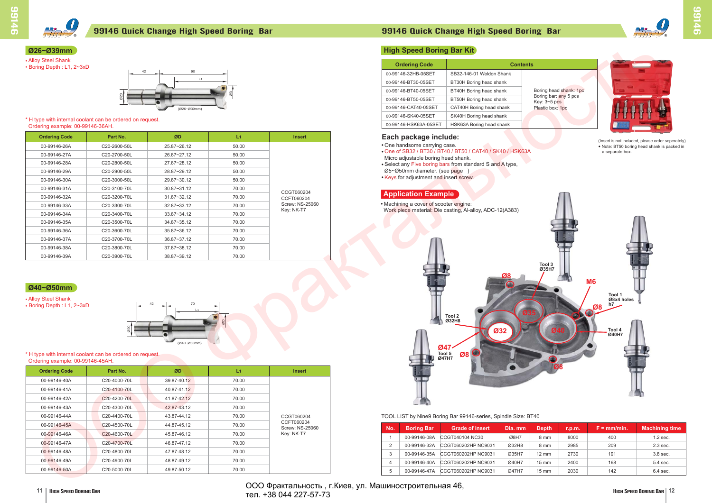| <b>Ordering Code</b> | Part No.     | ØD              | L <sub>1</sub> | <b>Insert</b>            |
|----------------------|--------------|-----------------|----------------|--------------------------|
| 00-99146-26A         | C20-2600-50L | 25.87~26.12     | 50.00          |                          |
| 00-99146-27A         | C20-2700-50L | 26.87~27.12     | 50.00          |                          |
| 00-99146-28A         | C20-2800-50L | 27.87~28.12     | 50.00          |                          |
| 00-99146-29A         | C20-2900-50L | 28.87~29.12     | 50.00          |                          |
| 00-99146-30A         | C20-3000-50L | 29.87~30.12     | 50.00          |                          |
| 00-99146-31A         | C20-3100-70L | $30.87 - 31.12$ | 70.00          |                          |
| 00-99146-32A         | C20-3200-70L | $31.87 - 32.12$ | 70.00          | CCGT060204<br>CCFT060204 |
| 00-99146-33A         | C20-3300-70L | $32.87 - 33.12$ | 70.00          | Screw: NS-25060          |
| 00-99146-34A         | C20-3400-70L | $33.87 - 34.12$ | 70.00          | Key: NK-T7               |
| 00-99146-35A         | C20-3500-70L | 34.87~35.12     | 70.00          |                          |
| 00-99146-36A         | C20-3600-70L | $35.87 - 36.12$ | 70.00          |                          |
| 00-99146-37A         | C20-3700-70L | $36.87 - 37.12$ | 70.00          |                          |
| 00-99146-38A         | C20-3800-70L | 37.87~38.12     | 70.00          |                          |
| 00-99146-39A         | C20-3900-70L | 38.87~39.12     | 70.00          |                          |

| <b>Ordering Code</b> | Part No.                  | ØD          | L1    | <b>Insert</b>                 |
|----------------------|---------------------------|-------------|-------|-------------------------------|
| 00-99146-40A         | C <sub>20</sub> -4000-70L | 39.87-40.12 | 70.00 |                               |
| 00-99146-41A         | C20-4100-70L              | 40.87-41.12 | 70.00 |                               |
| 00-99146-42A         | C <sub>20</sub> -4200-70L | 41.87-42.12 | 70.00 |                               |
| 00-99146-43A         | C20-4300-70L              | 42.87-43.12 | 70.00 |                               |
| 00-99146-44A         | C20-4400-70L              | 43.87-44.12 | 70.00 | CCGT060204                    |
| 00-99146-45A         | C20-4500-70L              | 44.87-45.12 | 70.00 | CCFT060204<br>Screw: NS-25060 |
| 00-99146-46A         | C <sub>20</sub> -4600-70L | 45.87-46.12 | 70.00 | Key: NK-T7                    |
| 00-99146-47A         | C20-4700-70L              | 46.87-47.12 | 70.00 |                               |
| 00-99146-48A         | C20-4800-70L              | 47.87-48.12 | 70.00 |                               |
| 00-99146-49A         | C20-4900-70L              | 48.87-49.12 | 70.00 |                               |
| 00-99146-50A         | C20-5000-70L              | 49.87-50.12 | 70.00 |                               |

- One of SB32 / BT30 / BT40 / BT50 / CAT40 / SK40 / HSK63A
- Micro adjustable boring head shank.
- Select any Five boring bars from standard S and A type,
- Ø5~Ø50mm diameter. (see page )
- Keys for adjustment and insert screw.



# **Ø26~Ø39mm**

• Alloy Steel Shank

# **Ø40~Ø50mm**

### • Alloy Steel Shank

• Boring Depth : L1, 2~3xD





#### \* H type with internal coolant can be ordered on request. Ordering example: 00-99146-36AH.

#### \* H type with internal coolant can be ordered on request. Ordering example: 00-99146-45AH.

| <b>Ordering Code</b>  |                          | <b>Contents</b> |
|-----------------------|--------------------------|-----------------|
| 00-99146-32HB-05SET   | SB32-146-01 Weldon Shank |                 |
| 00-99146-BT30-05SET   | BT30H Boring head shank  |                 |
| 00-99146-BT40-05SET   | BT40H Boring head shank  | Bo              |
| 00-99146-BT50-05SET   | BT50H Boring head shank  | Bo<br>Ke        |
| 00-99146-CAT40-05SET  | CAT40H Boring head shank | PI              |
| 00-99146-SK40-05SET   | SK40H Boring head shank  |                 |
| 00-99146-HSK63A-05SET | HSK63A Boring head shank |                 |

# **Each package include:**

• One handsome carrying case.

# **High Speed Boring Bar Kit**



● Note: BT50 boring head shank is packed in a separate box. (Insert is not included, please order seperately)

# **Application Example**

• Machining a cover of scooter engine:

| No. | <b>Boring Bar</b> | <b>Grade of insert</b> | Dia. mm | <b>Depth</b>    | r.p.m. | $F = \frac{mm}{min}$ . | <b>Machining time</b> |
|-----|-------------------|------------------------|---------|-----------------|--------|------------------------|-----------------------|
|     | 00-99146-08A      | CCGT040104 NC30        | Ø8H7    | 8 mm            | 8000   | 400                    | $1.2$ sec.            |
| 2   | 00-99146-32A      | CCGT060202HP NC9031    | Ø32H8   | 8 mm            | 2985   | 209                    | $2.3$ sec.            |
|     | 00-99146-35A      | CCGT060202HP NC9031    | Ø35H7   | $12 \text{ mm}$ | 2730   | 191                    | 3.8 sec.              |
| 4   | 00-99146-40A      | CCGT060202HP NC9031    | Ø40H7   | $15 \text{ mm}$ | 2400   | 168                    | 5.4 sec.              |
| 5   | 00-99146-47A      | CCGT060202HP NC9031    | Ø47H7   | $15 \text{ mm}$ | 2030   | 142                    | 6.4 sec.              |



TOOL LIST by Nine9 Boring Bar 99146-series, Spindle Size: BT40

# 99146 Quick Change High Speed Boring Bar 99146 Quick Change High Speed Boring Bar







bring head shank: 1pc boring bar: any 5 pcs ey: 3~5 p<mark>cs</mark> astic box: 1pc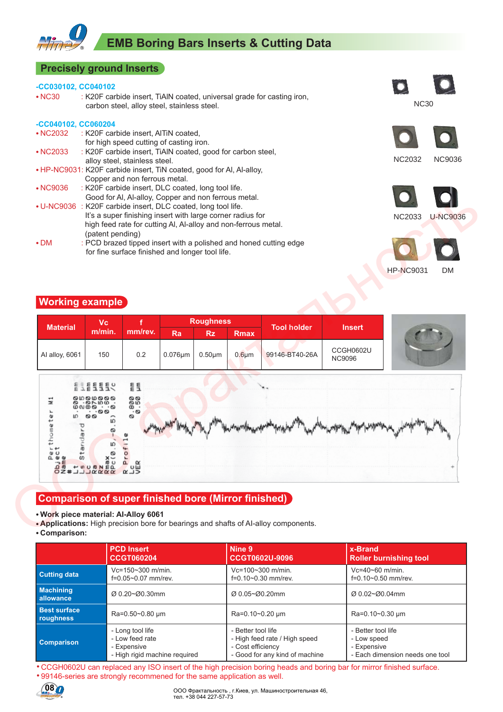# **EMB Boring Bars Inserts & Cutting Data**

### **Precisely ground Inserts**

#### **-CC030102, CC040102**

• NC30 : K20F carbide insert, TiAlN coated, universal grade for casting iron, carbon steel, alloy steel, stainless steel.

### **-CC040102, CC060204**

| $\cdot$ NC2032 | : K20F carbide insert, AITiN coated,                                 |
|----------------|----------------------------------------------------------------------|
|                | for high speed cutting of casting iron.                              |
| $\cdot$ NC2033 | : K20F carbide insert, TiAIN coated, good for carbon steel,          |
|                | alloy steel, stainless steel.                                        |
|                | . HP-NC9031: K20F carbide insert, TiN coated, good for AI, AI-alloy, |
|                | Copper and non ferrous metal.                                        |
| • NC9036       | : K20F carbide insert, DLC coated, long tool life.                   |
|                | Good for Al, Al-alloy, Copper and non ferrous metal.                 |
|                | • U-NC9036 : K20F carbide insert, DLC coated, long tool life.        |
|                | It's a super finishing insert with large corner radius for           |
|                | high feed rate for cutting AI, AI-alloy and non-ferrous metal.       |
|                | (patent pending)                                                     |



NC30

NC9036





# **Working example**

| $\bullet$ DM<br><b>Working example</b> | (patent pending)                                  | for fine surface finished and longer tool life. |                  |              |             | : PCD brazed tipped insert with a polished and honed cutting edge |                                   | <b>HP-NC9031</b><br><b>DM</b> |
|----------------------------------------|---------------------------------------------------|-------------------------------------------------|------------------|--------------|-------------|-------------------------------------------------------------------|-----------------------------------|-------------------------------|
| <b>Material</b>                        | <b>Vc</b><br>m/min.                               | mm/rev.                                         | <b>Roughness</b> |              |             | <b>Tool holder</b>                                                | <b>Insert</b>                     |                               |
|                                        |                                                   |                                                 | Ra               | <b>Rz</b>    | Rmax        |                                                                   |                                   |                               |
| Al alloy, 6061                         | 150                                               | 0.2                                             | $0.076 \mu m$    | $0.50 \mu m$ | $0.6 \mu m$ | 99146-BT40-26A                                                    | <b>CCGH0602U</b><br><b>NC9096</b> |                               |
| Ξ<br>thometer                          | 00000<br>$-$ 0 $\vee$ 10 $\vee$<br>$\infty$<br>00 | 틀<br>88.68<br>$\overline{\circ}$<br>Ø<br>Ľ      |                  |              |             |                                                                   |                                   |                               |

# **Comparison of super finished bore (Mirror finished)**

#### ● **Work piece material: AI-Alloy 6061**

● **Comparison:**

|                                  | <b>PCD Insert</b>                        | Nine 9                         | x-Brand                         |
|----------------------------------|------------------------------------------|--------------------------------|---------------------------------|
|                                  | <b>CCGT060204</b>                        | CCGT0602U-9096                 | <b>Roller burnishing tool</b>   |
| <b>Cutting data</b>              | Vc=150~300 m/min.                        | $Vc = 100 - 300$ m/min.        | $Vc = 40 - 60$ m/min.           |
|                                  | f=0.05~0.07 mm/rev.                      | $f=0.10-0.30$ mm/rev.          | $f=0.10-0.50$ mm/rev.           |
| <b>Machining</b><br>allowance    | $\varnothing$ 0.20~ $\varnothing$ 0.30mm | Ø 0.05~Ø0.20mm                 | Ø 0.02~Ø0.04mm                  |
| <b>Best surface</b><br>roughness | Ra=0.50~0.80 µm                          | Ra=0.10~0.20 µm                | Ra=0.10~0.30 µm                 |
| Comparison                       | - Long tool life                         | - Better tool life             | - Better tool life              |
|                                  | - Low feed rate                          | - High feed rate / High speed  | - Low speed                     |
|                                  | - Expensive                              | - Cost efficiency              | - Expensive                     |
|                                  | - High rigid machine reguired            | - Good for any kind of machine | - Each dimension needs one tool |

• CCGH0602U can replaced any ISO insert of the high precision boring heads and boring bar for mirror finished surface. • 99146-series are strongly recommened for the same application as well.